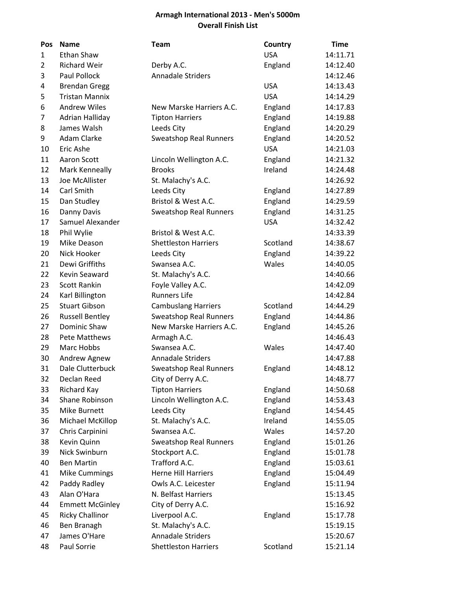## **Armagh International 2013 - Men's 5000m Overall Finish List**

| Pos          | <b>Name</b>            | <b>Team</b>                   | Country    | <b>Time</b> |
|--------------|------------------------|-------------------------------|------------|-------------|
| $\mathbf{1}$ | Ethan Shaw             |                               | <b>USA</b> | 14:11.71    |
| 2            | <b>Richard Weir</b>    | Derby A.C.                    | England    | 14:12.40    |
| 3            | Paul Pollock           | <b>Annadale Striders</b>      |            | 14:12.46    |
| 4            | <b>Brendan Gregg</b>   |                               | <b>USA</b> | 14:13.43    |
| 5            | <b>Tristan Mannix</b>  |                               | <b>USA</b> | 14:14.29    |
| 6            | <b>Andrew Wiles</b>    | New Marske Harriers A.C.      | England    | 14:17.83    |
| 7            | Adrian Halliday        | <b>Tipton Harriers</b>        | England    | 14:19.88    |
| 8            | James Walsh            | Leeds City                    | England    | 14:20.29    |
| 9            | <b>Adam Clarke</b>     | <b>Sweatshop Real Runners</b> | England    | 14:20.52    |
| 10           | Eric Ashe              |                               | <b>USA</b> | 14:21.03    |
| 11           | Aaron Scott            | Lincoln Wellington A.C.       | England    | 14:21.32    |
| 12           | Mark Kenneally         | <b>Brooks</b>                 | Ireland    | 14:24.48    |
| 13           | Joe McAllister         | St. Malachy's A.C.            |            | 14:26.92    |
| 14           | Carl Smith             | Leeds City                    | England    | 14:27.89    |
| 15           | Dan Studley            | Bristol & West A.C.           | England    | 14:29.59    |
| 16           | Danny Davis            | <b>Sweatshop Real Runners</b> | England    | 14:31.25    |
| 17           | Samuel Alexander       |                               | <b>USA</b> | 14:32.42    |
| 18           | Phil Wylie             | Bristol & West A.C.           |            | 14:33.39    |
| 19           | Mike Deason            | <b>Shettleston Harriers</b>   | Scotland   | 14:38.67    |
| 20           | Nick Hooker            | Leeds City                    | England    | 14:39.22    |
| 21           | Dewi Griffiths         | Swansea A.C.                  | Wales      | 14:40.05    |
| 22           | Kevin Seaward          | St. Malachy's A.C.            |            | 14:40.66    |
| 23           | <b>Scott Rankin</b>    | Foyle Valley A.C.             |            | 14:42.09    |
| 24           | Karl Billington        | <b>Runners Life</b>           |            | 14:42.84    |
| 25           | <b>Stuart Gibson</b>   | <b>Cambuslang Harriers</b>    | Scotland   | 14:44.29    |
| 26           | <b>Russell Bentley</b> | <b>Sweatshop Real Runners</b> | England    | 14:44.86    |
| 27           | Dominic Shaw           | New Marske Harriers A.C.      | England    | 14:45.26    |
| 28           | <b>Pete Matthews</b>   | Armagh A.C.                   |            | 14:46.43    |
| 29           | Marc Hobbs             | Swansea A.C.                  | Wales      | 14:47.40    |
| 30           | Andrew Agnew           | <b>Annadale Striders</b>      |            | 14:47.88    |
| 31           | Dale Clutterbuck       | <b>Sweatshop Real Runners</b> | England    | 14:48.12    |
| 32           | Declan Reed            | City of Derry A.C.            |            | 14:48.77    |
| 33           | Richard Kay            | <b>Tipton Harriers</b>        | England    | 14:50.68    |
| 34           | Shane Robinson         | Lincoln Wellington A.C.       | England    | 14:53.43    |
| 35           | Mike Burnett           | Leeds City                    | England    | 14:54.45    |
| 36           | Michael McKillop       | St. Malachy's A.C.            | Ireland    | 14:55.05    |
| 37           | Chris Carpinini        | Swansea A.C.                  | Wales      | 14:57.20    |
| 38           | Kevin Quinn            | <b>Sweatshop Real Runners</b> | England    | 15:01.26    |
| 39           | Nick Swinburn          | Stockport A.C.                | England    | 15:01.78    |
| 40           | <b>Ben Martin</b>      | Trafford A.C.                 | England    | 15:03.61    |
| 41           | <b>Mike Cummings</b>   | <b>Herne Hill Harriers</b>    | England    | 15:04.49    |
| 42           | Paddy Radley           | Owls A.C. Leicester           | England    | 15:11.94    |
| 43           | Alan O'Hara            | N. Belfast Harriers           |            | 15:13.45    |
| 44           | <b>Emmett McGinley</b> | City of Derry A.C.            |            | 15:16.92    |
| 45           | <b>Ricky Challinor</b> | Liverpool A.C.                | England    | 15:17.78    |
| 46           | Ben Branagh            | St. Malachy's A.C.            |            | 15:19.15    |
| 47           | James O'Hare           | <b>Annadale Striders</b>      |            | 15:20.67    |
| 48           | Paul Sorrie            | <b>Shettleston Harriers</b>   | Scotland   | 15:21.14    |